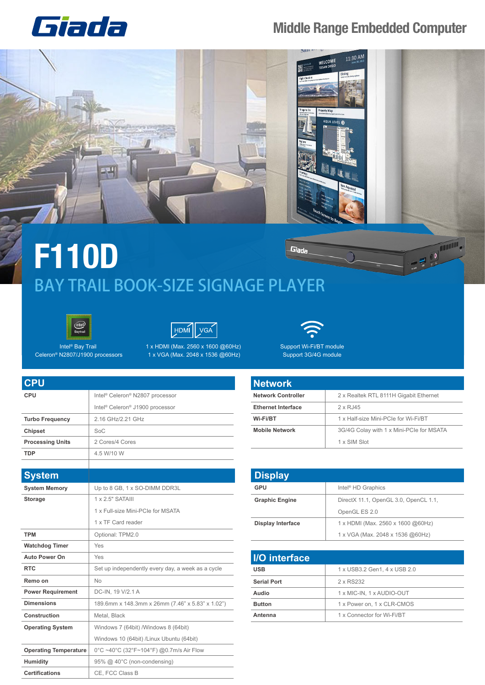## Giada

## **Middle Range Embedded Computer**



## **F110D** Giada BAY TRAIL BOOK-SIZE SIGNAGE PLAYER





Intel® Bay Trail Celeron® N2807/J1900 processors

**CPU CPU**

**Certifications** CE, FCC Class B

Humidity 95% @ 40°C (non-condensing)

1 x HDMI (Max. 2560 x 1600 @60Hz) 1 x VGA (Max. 2048 x 1536 @60Hz)



Support Wi-Fi/BT module Support 3G/4G module

| <b>Network</b>            |                                          |
|---------------------------|------------------------------------------|
| <b>Network Controller</b> | 2 x Realtek RTL 8111H Gigabit Ethernet   |
| <b>Ethernet Interface</b> | $2 \times RJ45$                          |
| Wi-Fi/BT                  | 1 x Half-size Mini-PCIe for Wi-Fi/BT     |
| <b>Mobile Network</b>     | 3G/4G Colay with 1 x Mini-PCIe for MSATA |
|                           | 1 x SIM Slot                             |

| <b>Display</b>           |                                       |
|--------------------------|---------------------------------------|
| GPU                      | Intel <sup>®</sup> HD Graphics        |
| <b>Graphic Engine</b>    | DirectX 11.1, OpenGL 3.0, OpenCL 1.1, |
|                          | OpenGL ES 2.0                         |
| <b>Display Interface</b> | 1 x HDMI (Max. 2560 x 1600 @60Hz)     |
|                          | 1 x VGA (Max. 2048 x 1536 @60Hz)      |

| <b>I/O</b> interface |                              |
|----------------------|------------------------------|
| <b>USB</b>           | 1 x USB3.2 Gen1, 4 x USB 2.0 |
| <b>Serial Port</b>   | 2 x RS232                    |
| Audio                | 1 x MIC-IN, 1 x AUDIO-OUT    |
| <b>Button</b>        | 1 x Power on, 1 x CLR-CMOS   |
| Antenna              | 1 x Connector for Wi-Fi/BT   |

|                              | Intel <sup>®</sup> Celeron <sup>®</sup> J1900 processor |
|------------------------------|---------------------------------------------------------|
| <b>Turbo Frequency</b>       | 2.16 GHz/2.21 GHz                                       |
| Chipset                      | SoC                                                     |
| <b>Processing Units</b>      | 2 Cores/4 Cores                                         |
| <b>TDP</b>                   | 4.5 W/10 W                                              |
|                              |                                                         |
| <b>System</b>                |                                                         |
| <b>System Memory</b>         | Up to 8 GB, 1 x SO-DIMM DDR3L                           |
| <b>Storage</b>               | 1 x 2.5" SATAIII                                        |
|                              | 1 x Full-size Mini-PCIe for MSATA                       |
|                              | 1 x TF Card reader                                      |
| <b>TPM</b>                   | Optional: TPM2.0                                        |
| <b>Watchdog Timer</b>        | Yes                                                     |
| Auto Power On                | Yes                                                     |
| <b>RTC</b>                   | Set up independently every day, a week as a cycle       |
| Remo on                      | No                                                      |
| <b>Power Requirement</b>     | DC-IN, 19 V/2.1 A                                       |
| <b>Dimensions</b>            | 189.6mm x 148.3mm x 26mm (7.46" x 5.83" x 1.02")        |
| Construction                 | Metal, Black                                            |
| <b>Operating System</b>      | Windows 7 (64bit) /Windows 8 (64bit)                    |
|                              | Windows 10 (64bit) /Linux Ubuntu (64bit)                |
| <b>Operating Temperature</b> | 0°C ~40°C (32°F~104°F) @0.7m/s Air Flow                 |

Intel® Celeron® N2807 processor